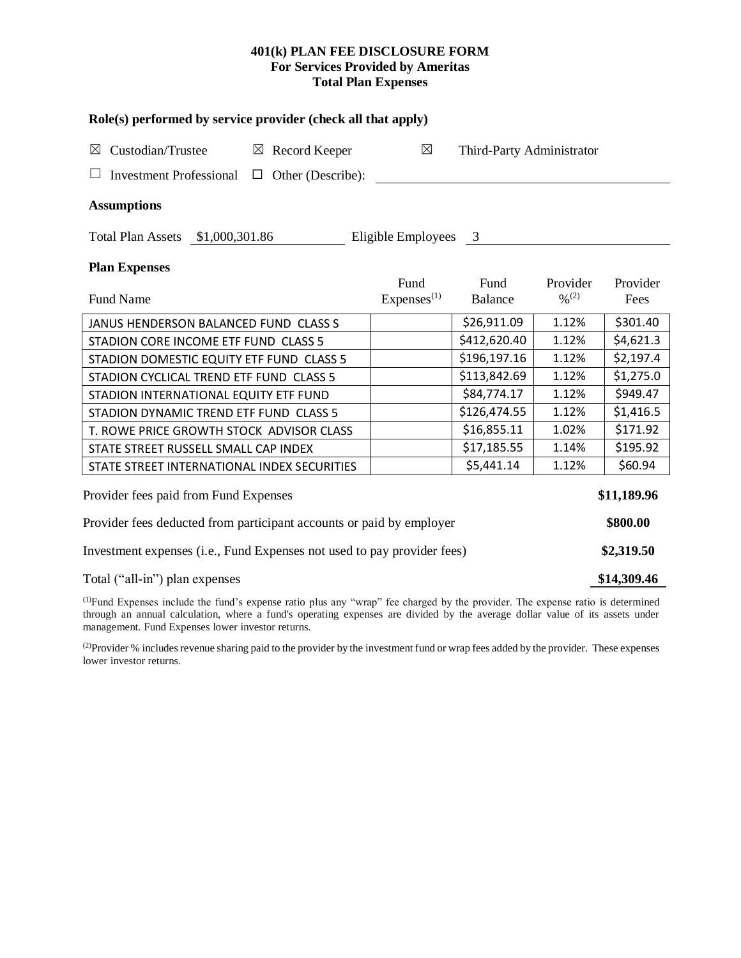# **401(k) PLAN FEE DISCLOSURE FORM For Services Provided by Ameritas Total Plan Expenses**

| Role(s) performed by service provider (check all that apply)            |                        |                           |                              |           |  |  |  |  |  |  |  |
|-------------------------------------------------------------------------|------------------------|---------------------------|------------------------------|-----------|--|--|--|--|--|--|--|
| Custodian/Trustee<br>$\boxtimes$ Record Keeper<br>$\boxtimes$           | $\boxtimes$            | Third-Party Administrator |                              |           |  |  |  |  |  |  |  |
| <b>Investment Professional</b><br>Other (Describe):<br>$\Box$           |                        |                           |                              |           |  |  |  |  |  |  |  |
| <b>Assumptions</b>                                                      |                        |                           |                              |           |  |  |  |  |  |  |  |
| Total Plan Assets \$1,000,301.86<br>Eligible Employees 3                |                        |                           |                              |           |  |  |  |  |  |  |  |
| <b>Plan Expenses</b>                                                    |                        |                           |                              |           |  |  |  |  |  |  |  |
|                                                                         | Fund                   | Fund                      | Provider                     | Provider  |  |  |  |  |  |  |  |
| <b>Fund Name</b>                                                        | Express <sup>(1)</sup> | Balance                   | $\frac{0}{0}$ <sup>(2)</sup> | Fees      |  |  |  |  |  |  |  |
| JANUS HENDERSON BALANCED FUND CLASS S                                   |                        | \$26,911.09               | 1.12%                        | \$301.40  |  |  |  |  |  |  |  |
| STADION CORE INCOME ETF FUND CLASS 5                                    |                        | \$412,620.40              | 1.12%                        | \$4,621.3 |  |  |  |  |  |  |  |
| STADION DOMESTIC EQUITY ETF FUND CLASS 5                                |                        | \$196,197.16              | 1.12%                        | \$2,197.4 |  |  |  |  |  |  |  |
| STADION CYCLICAL TREND ETF FUND CLASS 5                                 |                        | \$113,842.69              | 1.12%                        | \$1,275.0 |  |  |  |  |  |  |  |
| STADION INTERNATIONAL EQUITY ETF FUND                                   |                        | \$84,774.17               | 1.12%                        | \$949.47  |  |  |  |  |  |  |  |
| STADION DYNAMIC TREND ETF FUND CLASS 5                                  |                        | \$126,474.55              | 1.12%                        | \$1,416.5 |  |  |  |  |  |  |  |
| T. ROWE PRICE GROWTH STOCK ADVISOR CLASS                                |                        | \$16,855.11               | 1.02%                        | \$171.92  |  |  |  |  |  |  |  |
| STATE STREET RUSSELL SMALL CAP INDEX                                    |                        | \$17,185.55               | 1.14%                        | \$195.92  |  |  |  |  |  |  |  |
| STATE STREET INTERNATIONAL INDEX SECURITIES                             |                        | \$5,441.14                | 1.12%                        | \$60.94   |  |  |  |  |  |  |  |
| Provider fees paid from Fund Expenses                                   |                        |                           |                              |           |  |  |  |  |  |  |  |
| Provider fees deducted from participant accounts or paid by employer    |                        |                           |                              |           |  |  |  |  |  |  |  |
| Investment expenses (i.e., Fund Expenses not used to pay provider fees) |                        |                           |                              |           |  |  |  |  |  |  |  |
| Total ("all-in") plan expenses                                          |                        |                           |                              |           |  |  |  |  |  |  |  |

(1)Fund Expenses include the fund's expense ratio plus any "wrap" fee charged by the provider. The expense ratio is determined through an annual calculation, where a fund's operating expenses are divided by the average dollar value of its assets under management. Fund Expenses lower investor returns.

<sup>(2)</sup>Provider % includes revenue sharing paid to the provider by the investment fund or wrap fees added by the provider. These expenses lower investor returns.